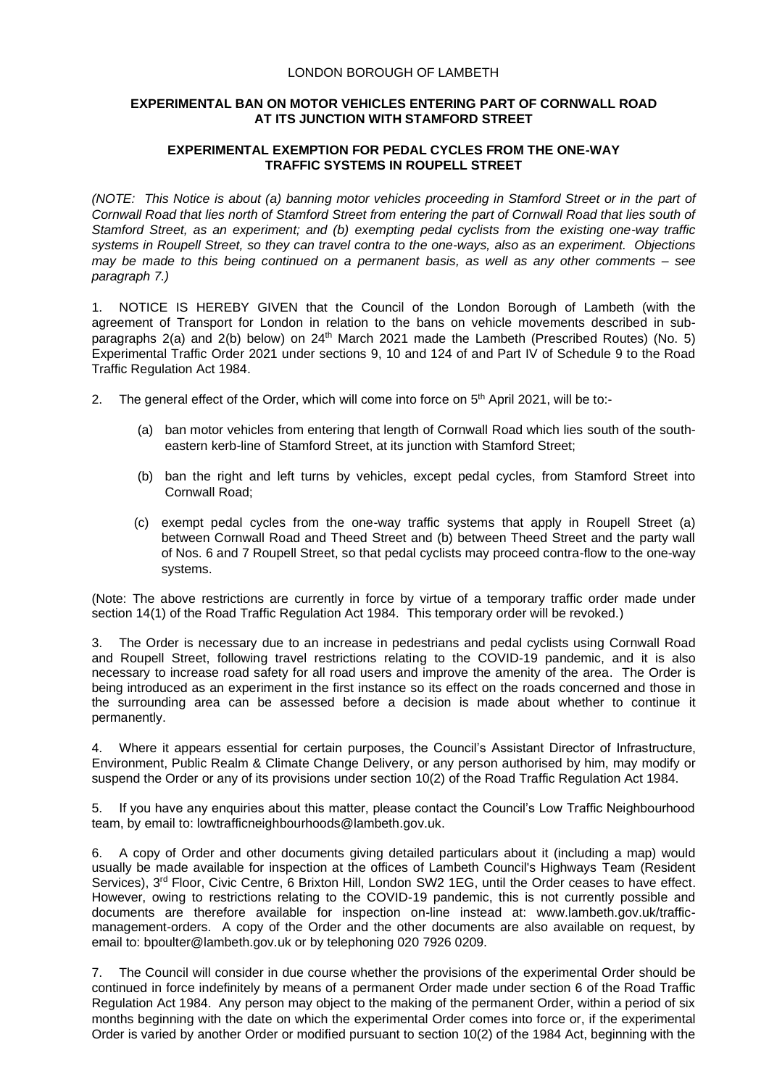## LONDON BOROUGH OF LAMBETH

## **EXPERIMENTAL BAN ON MOTOR VEHICLES ENTERING PART OF CORNWALL ROAD AT ITS JUNCTION WITH STAMFORD STREET**

## **EXPERIMENTAL EXEMPTION FOR PEDAL CYCLES FROM THE ONE-WAY TRAFFIC SYSTEMS IN ROUPELL STREET**

*(NOTE: This Notice is about (a) banning motor vehicles proceeding in Stamford Street or in the part of Cornwall Road that lies north of Stamford Street from entering the part of Cornwall Road that lies south of Stamford Street, as an experiment; and (b) exempting pedal cyclists from the existing one-way traffic systems in Roupell Street, so they can travel contra to the one-ways, also as an experiment. Objections may be made to this being continued on a permanent basis, as well as any other comments – see paragraph 7.)*

1. NOTICE IS HEREBY GIVEN that the Council of the London Borough of Lambeth (with the agreement of Transport for London in relation to the bans on vehicle movements described in subparagraphs 2(a) and 2(b) below) on 24<sup>th</sup> March 2021 made the Lambeth (Prescribed Routes) (No. 5) Experimental Traffic Order 2021 under sections 9, 10 and 124 of and Part IV of Schedule 9 to the Road Traffic Regulation Act 1984.

- 2. The general effect of the Order, which will come into force on 5<sup>th</sup> April 2021, will be to:-
	- (a) ban motor vehicles from entering that length of Cornwall Road which lies south of the southeastern kerb-line of Stamford Street, at its junction with Stamford Street;
	- (b) ban the right and left turns by vehicles, except pedal cycles, from Stamford Street into Cornwall Road;
	- (c) exempt pedal cycles from the one-way traffic systems that apply in Roupell Street (a) between Cornwall Road and Theed Street and (b) between Theed Street and the party wall of Nos. 6 and 7 Roupell Street, so that pedal cyclists may proceed contra-flow to the one-way systems.

(Note: The above restrictions are currently in force by virtue of a temporary traffic order made under section 14(1) of the Road Traffic Regulation Act 1984. This temporary order will be revoked.)

3. The Order is necessary due to an increase in pedestrians and pedal cyclists using Cornwall Road and Roupell Street, following travel restrictions relating to the COVID-19 pandemic, and it is also necessary to increase road safety for all road users and improve the amenity of the area. The Order is being introduced as an experiment in the first instance so its effect on the roads concerned and those in the surrounding area can be assessed before a decision is made about whether to continue it permanently.

4. Where it appears essential for certain purposes, the Council's Assistant Director of Infrastructure, Environment, Public Realm & Climate Change Delivery, or any person authorised by him, may modify or suspend the Order or any of its provisions under section 10(2) of the Road Traffic Regulation Act 1984.

5. If you have any enquiries about this matter, please contact the Council's Low Traffic Neighbourhood team, by email to: lowtrafficneighbourhoods@lambeth.gov.uk.

6. A copy of Order and other documents giving detailed particulars about it (including a map) would usually be made available for inspection at the offices of Lambeth Council's Highways Team (Resident Services), 3<sup>rd</sup> Floor, Civic Centre, 6 Brixton Hill, London SW2 1EG, until the Order ceases to have effect. However, owing to restrictions relating to the COVID-19 pandemic, this is not currently possible and documents are therefore available for inspection on-line instead at: [www.lambeth.gov.uk/traffic](https://eur01.safelinks.protection.outlook.com/?url=http%3A%2F%2Fwww.lambeth.gov.uk%2Ftraffic-management-orders&data=02%7C01%7CHazel.Game%40projectcentre.co.uk%7Cdb2cc4466d98464379e108d8228a177f%7C3734172ae82a4ac7a3d302949970d5e6%7C0%7C0%7C637297323791658621&sdata=%2F9T0mTHJshTJ2XJRn1W8ejKPOCPyu4ImJy8Y%2BVrLotM%3D&reserved=0)[management-orders.](https://eur01.safelinks.protection.outlook.com/?url=http%3A%2F%2Fwww.lambeth.gov.uk%2Ftraffic-management-orders&data=02%7C01%7CHazel.Game%40projectcentre.co.uk%7Cdb2cc4466d98464379e108d8228a177f%7C3734172ae82a4ac7a3d302949970d5e6%7C0%7C0%7C637297323791658621&sdata=%2F9T0mTHJshTJ2XJRn1W8ejKPOCPyu4ImJy8Y%2BVrLotM%3D&reserved=0) A copy of the Order and the other documents are also available on request, by email to: [bpoulter@lambeth.gov.uk](mailto:bpoulter@lambeth.gov.uk) or by telephoning 020 7926 0209.

7. The Council will consider in due course whether the provisions of the experimental Order should be continued in force indefinitely by means of a permanent Order made under section 6 of the Road Traffic Regulation Act 1984. Any person may object to the making of the permanent Order, within a period of six months beginning with the date on which the experimental Order comes into force or, if the experimental Order is varied by another Order or modified pursuant to section 10(2) of the 1984 Act, beginning with the